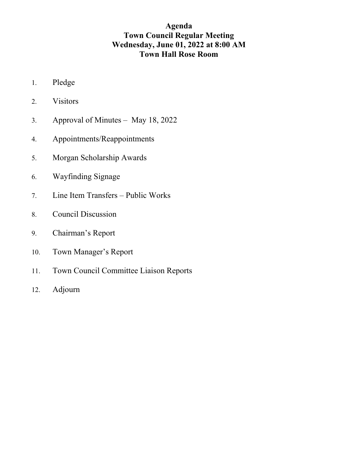# **Agenda Town Council Regular Meeting Wednesday, June 01, 2022 at 8:00 AM Town Hall Rose Room**

- 1. Pledge
- 2. Visitors
- 3. Approval of Minutes May 18, 2022
- 4. Appointments/Reappointments
- 5. Morgan Scholarship Awards
- 6. Wayfinding Signage
- 7. Line Item Transfers Public Works
- 8. Council Discussion
- 9. Chairman's Report
- 10. Town Manager's Report
- 11. Town Council Committee Liaison Reports
- 12. Adjourn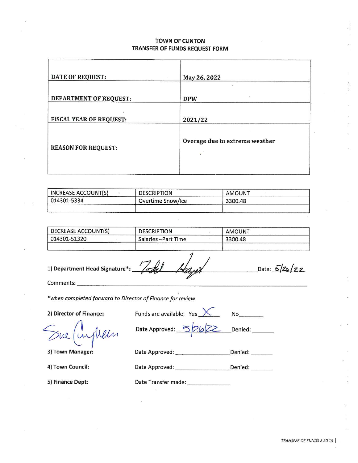## **TOWN OF CLINTON** TRANSFER OF FUNDS REQUEST FORM

| DATE OF REQUEST:           | May 26, 2022                   |
|----------------------------|--------------------------------|
| DEPARTMENT OF REQUEST:     | îΩ,<br>-30<br><b>DPW</b>       |
| FISCAL YEAR OF REQUEST:    | 2021/22                        |
| <b>REASON FOR REQUEST:</b> | Overage due to extreme weather |

| INCREASE ACCOUNT(S) | <b>DESCRIPTION</b> | AMOUNT  |  |
|---------------------|--------------------|---------|--|
| 014301-5334         | Overtime Snow/Ice  | 3300.48 |  |
| ____________        |                    |         |  |

| DECREASE ACCOUNT(S) | <b>DESCRIPTION</b>   | AMOUNT  |  |
|---------------------|----------------------|---------|--|
| 014301-51320        | Salaries - Part Time | 3300.48 |  |
|                     |                      |         |  |

1) Department Head Signature\*:

Todel Date:  $5/26/22$ 

No contract the second series of the series of the series of the series of the series of the series of the series of the series of the series of the series of the series of the series of the series of the series of the ser

Comments:

\*when completed forward to Director of Finance for review

2) Director of Finance:

inghelm

3) Town Manager:

4) Town Council:

5) Finance Dept:

Funds are available:  $Yes$ 

Date Approved: Denied:  $\overline{\phantom{a}}$  $26Z$ 

Date Approved: Denied:

Date Transfer made: \_\_\_\_\_\_\_\_\_\_\_\_\_\_

TRANSFER OF FUNDS 2 20 19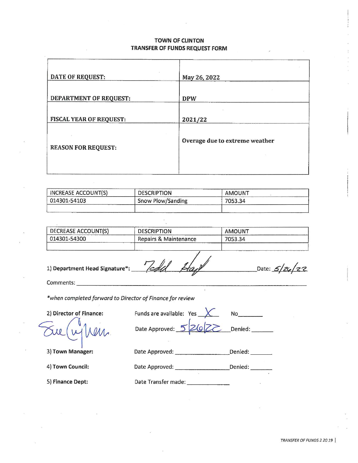## **TOWN OF CLINTON** TRANSFER OF FUNDS REQUEST FORM

| DATE OF REQUEST:               | May 26, 2022                   |
|--------------------------------|--------------------------------|
| DEPARTMENT OF REQUEST:         | <b>DPW</b>                     |
| <b>FISCAL YEAR OF REQUEST:</b> | 2021/22                        |
| <b>REASON FOR REQUEST:</b>     | Overage due to extreme weather |
|                                |                                |

| <b>INCREASE ACCOUNT(S)</b> | <b>DESCRIPTION</b> | <b>AMOUNT</b> |
|----------------------------|--------------------|---------------|
| 014301-54103               | Snow Plow/Sanding  | 7053.34       |
|                            |                    |               |

| DECREASE ACCOUNT(S) | <b>DESCRIPTION</b>    | AMOUNT  |  |
|---------------------|-----------------------|---------|--|
| 014301-54300        | Repairs & Maintenance | 7053.34 |  |
|                     |                       |         |  |

1) Department Head Signature\*:

Tedd

Comments:

\*when completed forward to Director of Finance for review

2) Director of Finance:

Funds are available: Yes **No** Denied: \_\_\_\_\_\_\_ Date Approved: 5  $2|g|$ 

3) Town Manager:

Date Approved: \_\_\_\_\_\_\_\_\_\_\_\_\_\_\_\_\_\_\_\_\_Denied: \_\_\_\_\_\_\_\_

4) Town Council:

5) Finance Dept:

Date Transfer made: \_\_\_\_\_\_\_\_\_\_\_\_\_\_\_

Date Approved:

Date:  $5/26/22$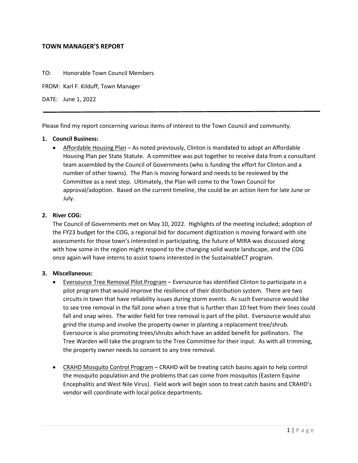## **TOWN MANAGER'S REPORT**

TO: Honorable Town Council Members

FROM: Karl F. Kilduff, Town Manager

DATE: June 1, 2022

Please find my report concerning various items of interest to the Town Council and community.

## **1. Council Business:**

• Affordable Housing Plan – As noted previously, Clinton is mandated to adopt an Affordable Housing Plan per State Statute. A committee was put together to receive data from a consultant team assembled by the Council of Governments (who is funding the effort for Clinton and a number of other towns). The Plan is moving forward and needs to be reviewed by the Committee as a next step. Ultimately, the Plan will come to the Town Council for approval/adoption. Based on the current timeline, the could be an action item for late June or July.

## **2. River COG:**

The Council of Governments met on May 10, 2022. Highlights of the meeting included; adoption of the FY23 budget for the COG, a regional bid for document digitization is moving forward with site assessments for those town's interested in participating, the future of MIRA was discussed along with how some in the region might respond to the changing solid waste landscape, and the COG once again will have interns to assist towns interested in the SustainableCT program.

#### **3. Miscellaneous:**

- Eversource Tree Removal Pilot Program Eversource has identified Clinton to participate in a pilot program that would improve the resilience of their distribution system. There are two circuits in town that have reliability issues during storm events. As such Eversource would like to see tree removal in the fall zone when a tree that is further than 10 feet from their lines could fall and snap wires. The wider field for tree removal is part of the pilot. Eversource would also grind the stump and involve the property owner in planting a replacement tree/shrub. Eversource is also promoting trees/shrubs which have an added benefit for pollinators. The Tree Warden will take the program to the Tree Committee for their input. As with all trimming, the property owner needs to consent to any tree removal.
- CRAHD Mosquito Control Program CRAHD will be treating catch basins again to help control the mosquito population and the problems that can come from mosquitos (Eastern Equine Encephalitis and West Nile Virus). Field work will begin soon to treat catch basins and CRAHD's vendor will coordinate with local police departments.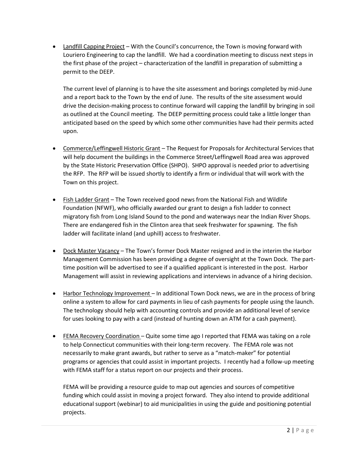Landfill Capping Project – With the Council's concurrence, the Town is moving forward with Louriero Engineering to cap the landfill. We had a coordination meeting to discuss next steps in the first phase of the project – characterization of the landfill in preparation of submitting a permit to the DEEP.

The current level of planning is to have the site assessment and borings completed by mid-June and a report back to the Town by the end of June. The results of the site assessment would drive the decision-making process to continue forward will capping the landfill by bringing in soil as outlined at the Council meeting. The DEEP permitting process could take a little longer than anticipated based on the speed by which some other communities have had their permits acted upon.

- Commerce/Leffingwell Historic Grant The Request for Proposals for Architectural Services that will help document the buildings in the Commerce Street/Leffingwell Road area was approved by the State Historic Preservation Office (SHPO). SHPO approval is needed prior to advertising the RFP. The RFP will be issued shortly to identify a firm or individual that will work with the Town on this project.
- Fish Ladder Grant The Town received good news from the National Fish and Wildlife Foundation (NFWF), who officially awarded our grant to design a fish ladder to connect migratory fish from Long Island Sound to the pond and waterways near the Indian River Shops. There are endangered fish in the Clinton area that seek freshwater for spawning. The fish ladder will facilitate inland (and uphill) access to freshwater.
- Dock Master Vacancy The Town's former Dock Master resigned and in the interim the Harbor Management Commission has been providing a degree of oversight at the Town Dock. The parttime position will be advertised to see if a qualified applicant is interested in the post. Harbor Management will assist in reviewing applications and interviews in advance of a hiring decision.
- Harbor Technology Improvement In additional Town Dock news, we are in the process of bring online a system to allow for card payments in lieu of cash payments for people using the launch. The technology should help with accounting controls and provide an additional level of service for uses looking to pay with a card (instead of hunting down an ATM for a cash payment).
- FEMA Recovery Coordination Quite some time ago I reported that FEMA was taking on a role to help Connecticut communities with their long-term recovery. The FEMA role was not necessarily to make grant awards, but rather to serve as a "match-maker" for potential programs or agencies that could assist in important projects. I recently had a follow-up meeting with FEMA staff for a status report on our projects and their process.

FEMA will be providing a resource guide to map out agencies and sources of competitive funding which could assist in moving a project forward. They also intend to provide additional educational support (webinar) to aid municipalities in using the guide and positioning potential projects.